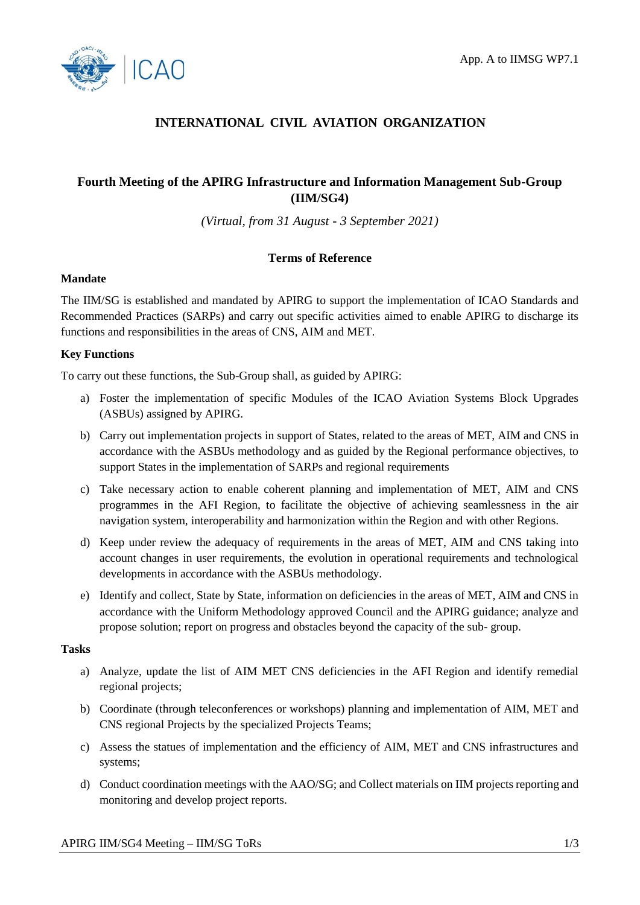

# **INTERNATIONAL CIVIL AVIATION ORGANIZATION**

## **Fourth Meeting of the APIRG Infrastructure and Information Management Sub-Group (IIM/SG4)**

*(Virtual, from 31 August - 3 September 2021)*

## **Terms of Reference**

### **Mandate**

The IIM/SG is established and mandated by APIRG to support the implementation of ICAO Standards and Recommended Practices (SARPs) and carry out specific activities aimed to enable APIRG to discharge its functions and responsibilities in the areas of CNS, AIM and MET.

### **Key Functions**

To carry out these functions, the Sub-Group shall, as guided by APIRG:

- a) Foster the implementation of specific Modules of the ICAO Aviation Systems Block Upgrades (ASBUs) assigned by APIRG.
- b) Carry out implementation projects in support of States, related to the areas of MET, AIM and CNS in accordance with the ASBUs methodology and as guided by the Regional performance objectives, to support States in the implementation of SARPs and regional requirements
- c) Take necessary action to enable coherent planning and implementation of MET, AIM and CNS programmes in the AFI Region, to facilitate the objective of achieving seamlessness in the air navigation system, interoperability and harmonization within the Region and with other Regions.
- d) Keep under review the adequacy of requirements in the areas of MET, AIM and CNS taking into account changes in user requirements, the evolution in operational requirements and technological developments in accordance with the ASBUs methodology.
- e) Identify and collect, State by State, information on deficiencies in the areas of MET, AIM and CNS in accordance with the Uniform Methodology approved Council and the APIRG guidance; analyze and propose solution; report on progress and obstacles beyond the capacity of the sub- group.

#### **Tasks**

- a) Analyze, update the list of AIM MET CNS deficiencies in the AFI Region and identify remedial regional projects;
- b) Coordinate (through teleconferences or workshops) planning and implementation of AIM, MET and CNS regional Projects by the specialized Projects Teams;
- c) Assess the statues of implementation and the efficiency of AIM, MET and CNS infrastructures and systems;
- d) Conduct coordination meetings with the AAO/SG; and Collect materials on IIM projects reporting and monitoring and develop project reports.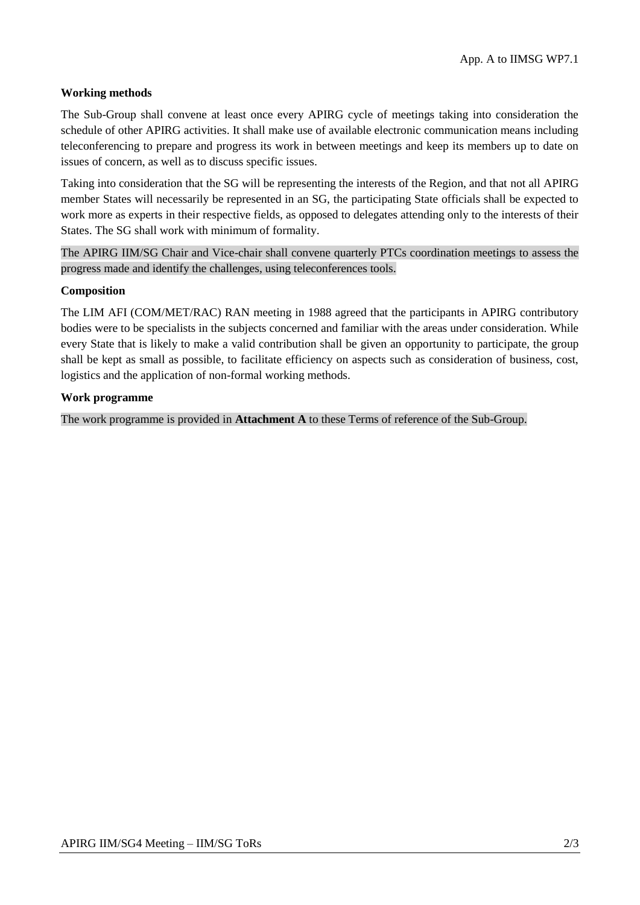### **Working methods**

The Sub-Group shall convene at least once every APIRG cycle of meetings taking into consideration the schedule of other APIRG activities. It shall make use of available electronic communication means including teleconferencing to prepare and progress its work in between meetings and keep its members up to date on issues of concern, as well as to discuss specific issues.

Taking into consideration that the SG will be representing the interests of the Region, and that not all APIRG member States will necessarily be represented in an SG, the participating State officials shall be expected to work more as experts in their respective fields, as opposed to delegates attending only to the interests of their States. The SG shall work with minimum of formality.

The APIRG IIM/SG Chair and Vice-chair shall convene quarterly PTCs coordination meetings to assess the progress made and identify the challenges, using teleconferences tools.

#### **Composition**

The LIM AFI (COM/MET/RAC) RAN meeting in 1988 agreed that the participants in APIRG contributory bodies were to be specialists in the subjects concerned and familiar with the areas under consideration. While every State that is likely to make a valid contribution shall be given an opportunity to participate, the group shall be kept as small as possible, to facilitate efficiency on aspects such as consideration of business, cost, logistics and the application of non-formal working methods.

#### **Work programme**

The work programme is provided in **Attachment A** to these Terms of reference of the Sub-Group.